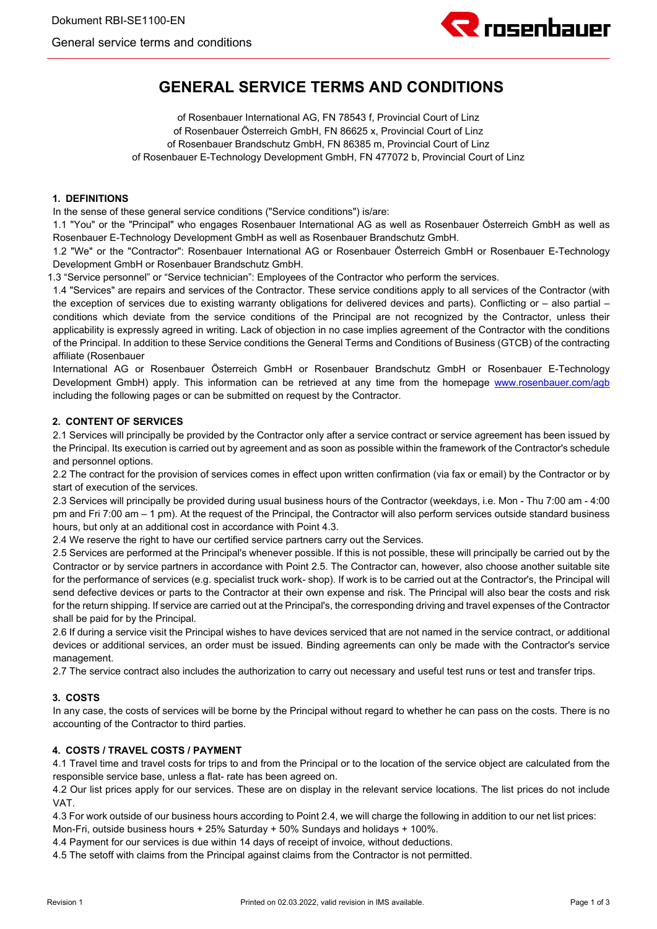

# **GENERAL SERVICE TERMS AND CONDITIONS**

of Rosenbauer International AG, FN 78543 f, Provincial Court of Linz of Rosenbauer Österreich GmbH, FN 86625 x, Provincial Court of Linz of Rosenbauer Brandschutz GmbH, FN 86385 m, Provincial Court of Linz of Rosenbauer E-Technology Development GmbH, FN 477072 b, Provincial Court of Linz

# **1. DEFINITIONS**

In the sense of these general service conditions ("Service conditions") is/are:

1.1 "You" or the "Principal" who engages Rosenbauer International AG as well as Rosenbauer Österreich GmbH as well as Rosenbauer E-Technology Development GmbH as well as Rosenbauer Brandschutz GmbH.

1.2 "We" or the "Contractor": Rosenbauer International AG or Rosenbauer Österreich GmbH or Rosenbauer E-Technology Development GmbH or Rosenbauer Brandschutz GmbH.

1.3 "Service personnel" or "Service technician": Employees of the Contractor who perform the services.

1.4 "Services" are repairs and services of the Contractor. These service conditions apply to all services of the Contractor (with the exception of services due to existing warranty obligations for delivered devices and parts). Conflicting or – also partial – conditions which deviate from the service conditions of the Principal are not recognized by the Contractor, unless their applicability is expressly agreed in writing. Lack of objection in no case implies agreement of the Contractor with the conditions of the Principal. In addition to these Service conditions the General Terms and Conditions of Business (GTCB) of the contracting affiliate (Rosenbauer

International AG or Rosenbauer Österreich GmbH or Rosenbauer Brandschutz GmbH or Rosenbauer E-Technology Development GmbH) apply. This information can be retrieved at any time from the homepage www.rosenbauer.com/agb including the following pages or can be submitted on request by the Contractor.

## **2. CONTENT OF SERVICES**

2.1 Services will principally be provided by the Contractor only after a service contract or service agreement has been issued by the Principal. Its execution is carried out by agreement and as soon as possible within the framework of the Contractor's schedule and personnel options.

2.2 The contract for the provision of services comes in effect upon written confirmation (via fax or email) by the Contractor or by start of execution of the services.

2.3 Services will principally be provided during usual business hours of the Contractor (weekdays, i.e. Mon - Thu 7:00 am - 4:00 pm and Fri 7:00 am – 1 pm). At the request of the Principal, the Contractor will also perform services outside standard business hours, but only at an additional cost in accordance with Point 4.3.

2.4 We reserve the right to have our certified service partners carry out the Services.

2.5 Services are performed at the Principal's whenever possible. If this is not possible, these will principally be carried out by the Contractor or by service partners in accordance with Point 2.5. The Contractor can, however, also choose another suitable site for the performance of services (e.g. specialist truck work- shop). If work is to be carried out at the Contractor's, the Principal will send defective devices or parts to the Contractor at their own expense and risk. The Principal will also bear the costs and risk for the return shipping. If service are carried out at the Principal's, the corresponding driving and travel expenses of the Contractor shall be paid for by the Principal.

2.6 If during a service visit the Principal wishes to have devices serviced that are not named in the service contract, or additional devices or additional services, an order must be issued. Binding agreements can only be made with the Contractor's service management.

2.7 The service contract also includes the authorization to carry out necessary and useful test runs or test and transfer trips.

## **3. COSTS**

In any case, the costs of services will be borne by the Principal without regard to whether he can pass on the costs. There is no accounting of the Contractor to third parties.

# **4. COSTS / TRAVEL COSTS / PAYMENT**

4.1 Travel time and travel costs for trips to and from the Principal or to the location of the service object are calculated from the responsible service base, unless a flat- rate has been agreed on.

4.2 Our list prices apply for our services. These are on display in the relevant service locations. The list prices do not include VAT.

4.3 For work outside of our business hours according to Point 2.4, we will charge the following in addition to our net list prices:

Mon-Fri, outside business hours + 25% Saturday + 50% Sundays and holidays + 100%.

4.4 Payment for our services is due within 14 days of receipt of invoice, without deductions.

4.5 The setoff with claims from the Principal against claims from the Contractor is not permitted.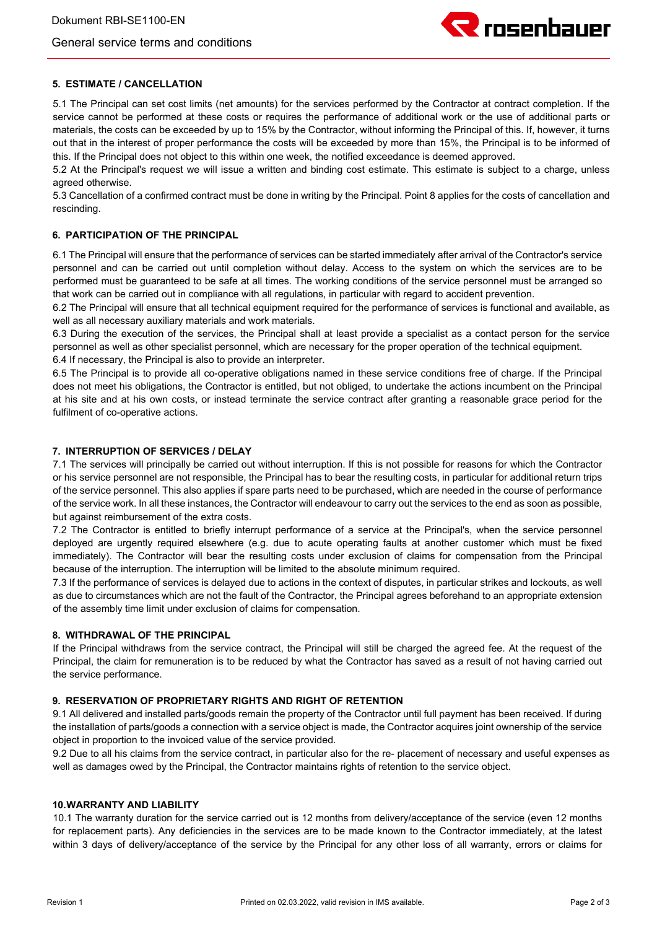# General service terms and conditions



# **5. ESTIMATE / CANCELLATION**

5.1 The Principal can set cost limits (net amounts) for the services performed by the Contractor at contract completion. If the service cannot be performed at these costs or requires the performance of additional work or the use of additional parts or materials, the costs can be exceeded by up to 15% by the Contractor, without informing the Principal of this. If, however, it turns out that in the interest of proper performance the costs will be exceeded by more than 15%, the Principal is to be informed of this. If the Principal does not object to this within one week, the notified exceedance is deemed approved.

5.2 At the Principal's request we will issue a written and binding cost estimate. This estimate is subject to a charge, unless agreed otherwise.

5.3 Cancellation of a confirmed contract must be done in writing by the Principal. Point 8 applies for the costs of cancellation and rescinding.

# **6. PARTICIPATION OF THE PRINCIPAL**

6.1 The Principal will ensure that the performance of services can be started immediately after arrival of the Contractor's service personnel and can be carried out until completion without delay. Access to the system on which the services are to be performed must be guaranteed to be safe at all times. The working conditions of the service personnel must be arranged so that work can be carried out in compliance with all regulations, in particular with regard to accident prevention.

6.2 The Principal will ensure that all technical equipment required for the performance of services is functional and available, as well as all necessary auxiliary materials and work materials.

6.3 During the execution of the services, the Principal shall at least provide a specialist as a contact person for the service personnel as well as other specialist personnel, which are necessary for the proper operation of the technical equipment. 6.4 If necessary, the Principal is also to provide an interpreter.

6.5 The Principal is to provide all co-operative obligations named in these service conditions free of charge. If the Principal does not meet his obligations, the Contractor is entitled, but not obliged, to undertake the actions incumbent on the Principal at his site and at his own costs, or instead terminate the service contract after granting a reasonable grace period for the fulfilment of co-operative actions.

#### **7. INTERRUPTION OF SERVICES / DELAY**

7.1 The services will principally be carried out without interruption. If this is not possible for reasons for which the Contractor or his service personnel are not responsible, the Principal has to bear the resulting costs, in particular for additional return trips of the service personnel. This also applies if spare parts need to be purchased, which are needed in the course of performance of the service work. In all these instances, the Contractor will endeavour to carry out the services to the end as soon as possible, but against reimbursement of the extra costs.

7.2 The Contractor is entitled to briefly interrupt performance of a service at the Principal's, when the service personnel deployed are urgently required elsewhere (e.g. due to acute operating faults at another customer which must be fixed immediately). The Contractor will bear the resulting costs under exclusion of claims for compensation from the Principal because of the interruption. The interruption will be limited to the absolute minimum required.

7.3 If the performance of services is delayed due to actions in the context of disputes, in particular strikes and lockouts, as well as due to circumstances which are not the fault of the Contractor, the Principal agrees beforehand to an appropriate extension of the assembly time limit under exclusion of claims for compensation.

## **8. WITHDRAWAL OF THE PRINCIPAL**

If the Principal withdraws from the service contract, the Principal will still be charged the agreed fee. At the request of the Principal, the claim for remuneration is to be reduced by what the Contractor has saved as a result of not having carried out the service performance.

## **9. RESERVATION OF PROPRIETARY RIGHTS AND RIGHT OF RETENTION**

9.1 All delivered and installed parts/goods remain the property of the Contractor until full payment has been received. If during the installation of parts/goods a connection with a service object is made, the Contractor acquires joint ownership of the service object in proportion to the invoiced value of the service provided.

9.2 Due to all his claims from the service contract, in particular also for the re- placement of necessary and useful expenses as well as damages owed by the Principal, the Contractor maintains rights of retention to the service object.

## **10.WARRANTY AND LIABILITY**

10.1 The warranty duration for the service carried out is 12 months from delivery/acceptance of the service (even 12 months for replacement parts). Any deficiencies in the services are to be made known to the Contractor immediately, at the latest within 3 days of delivery/acceptance of the service by the Principal for any other loss of all warranty, errors or claims for